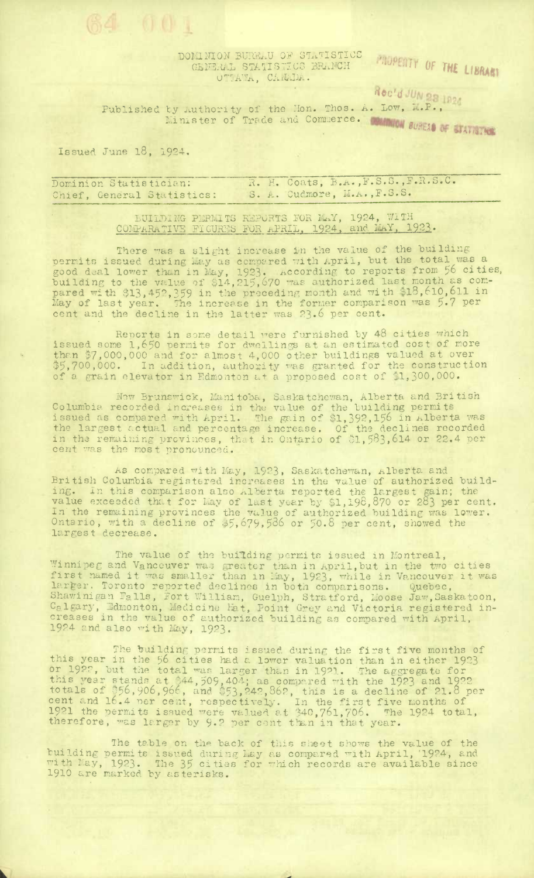DOMINION BURELU OF STATISTICS GENERAL STATISTICS BRANCH OTTAWA, CANADA.

PROPERTY OF THE LIBRARY

Rec'd JUN 28 1824

Published by Authority of the Hon. Thos. A. Low, M.P., by Authority of the Line Commerce. Common Suffer of Statistics

Issued June 18, 1924.

64 001

R. H. Coats, B.A., F.S.S., F.R.S.C. Dominion Statistician: S. A. Cudmore, M.A., F.S.S. Chief, General Statistics:

> BUILDING PERMITS REPORTS FOR MAY, 1924, WITH COMPARATIVE FICURES FOR APRIL, 1924, and MAY, 1923.

There was a slight increase in the value of the building<br>permits issued during kay as comoared with April, but the total was a<br>good deal lower than in May, 1923. According to reports from 56 cities,<br>building to the value o

Reports in some detail vere furnished by 48 cities which<br>issued some 1,650 permits for dwellings at an estimated cost of more<br>than \$7,000,000 and for almost 4,000 other buildings valued at over \$5,700,000. In addition, authority was granted for the construction of a grain elevator in Edmonton at a proposed cost of \$1,300,000.

New Brunswick, Manitoba, Saskatchewan, Alberta and British<br>Columbia recorded increases in the value of the building permits<br>issued as compared with April. The gain of \$1,392,156 in Alberta was<br>the largest actual and percen

As compared with May, 1923, Saskatchewan, Alberta and<br>British Columbia registered increases in the value of authorized build-<br>ing. In this comparison also Alberta reported the largest gain; the<br>value exceeded that for May largest decrease.

The value of the building permits issued in Montreal,<br>Winnipeg and Vancouver was greater than in April, but in the two cities<br>first named it was smaller than in May, 1923, while in Vancouver it was<br>larger. Toronto reported 1924 and also with May, 1923.

The building permits issued during the first five months of<br>this year in the 56 cities had a lower valuation than in either 1923<br>or 1927, but the total was larger than in 1921. The aggregate for<br>this year stands at \$44,509

The table on the back of this sheet shows the value of the building permits issued during May as compared with April, '1924, and with May, 1923. The 35 cities for which records are available since 1910 are marked by asteri